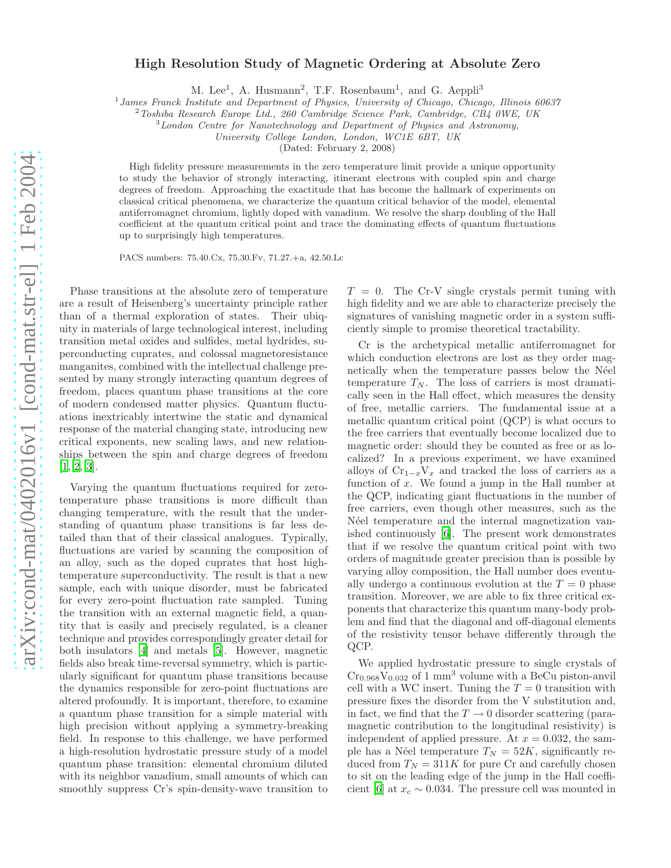## High Resolution Study of Magnetic Ordering at Absolute Zero

M. Lee<sup>1</sup>, A. Husmann<sup>2</sup>, T.F. Rosenbaum<sup>1</sup>, and G. Aeppli<sup>3</sup>

<sup>1</sup> James Franck Institute and Department of Physics, University of Chicago, Chicago, Illinois 60637

 $2$ Toshiba Research Europe Ltd., 260 Cambridge Science Park, Cambridge, CB4 0WE, UK

 $3$  London Centre for Nanotechnology and Department of Physics and Astronomy,

University College London, London, WC1E 6BT, UK

(Dated: February 2, 2008)

High fidelity pressure measurements in the zero temperature limit provide a unique opportunity to study the behavior of strongly interacting, itinerant electrons with coupled spin and charge degrees of freedom. Approaching the exactitude that has become the hallmark of experiments on classical critical phenomena, we characterize the quantum critical behavior of the model, elemental antiferromagnet chromium, lightly doped with vanadium. We resolve the sharp doubling of the Hall coefficient at the quantum critical point and trace the dominating effects of quantum fluctuations up to surprisingly high temperatures.

PACS numbers: 75.40.Cx, 75.30.Fv, 71.27.+a, 42.50.Lc

Phase transitions at the absolute zero of temperature are a result of Heisenberg's uncertainty principle rather than of a thermal exploration of states. Their ubiquity in materials of large technological interest, including transition metal oxides and sulfides, metal hydrides, superconducting cuprates, and colossal magnetoresistance manganites, combined with the intellectual challenge presented by many strongly interacting quantum degrees of freedom, places quantum phase transitions at the core of modern condensed matter physics. Quantum fluctuations inextricably intertwine the static and dynamical response of the material changing state, introducing new critical exponents, new scaling laws, and new relationships between the spin and charge degrees of freedom [\[1,](#page-3-0) [2,](#page-3-1) [3\]](#page-3-2).

Varying the quantum fluctuations required for zerotemperature phase transitions is more difficult than changing temperature, with the result that the understanding of quantum phase transitions is far less detailed than that of their classical analogues. Typically, fluctuations are varied by scanning the composition of an alloy, such as the doped cuprates that host hightemperature superconductivity. The result is that a new sample, each with unique disorder, must be fabricated for every zero-point fluctuation rate sampled. Tuning the transition with an external magnetic field, a quantity that is easily and precisely regulated, is a cleaner technique and provides correspondingly greater detail for both insulators [\[4](#page-3-3)] and metals [\[5\]](#page-3-4). However, magnetic fields also break time-reversal symmetry, which is particularly significant for quantum phase transitions because the dynamics responsible for zero-point fluctuations are altered profoundly. It is important, therefore, to examine a quantum phase transition for a simple material with high precision without applying a symmetry-breaking field. In response to this challenge, we have performed a high-resolution hydrostatic pressure study of a model quantum phase transition: elemental chromium diluted with its neighbor vanadium, small amounts of which can smoothly suppress Cr's spin-density-wave transition to  $T = 0$ . The Cr-V single crystals permit tuning with high fidelity and we are able to characterize precisely the signatures of vanishing magnetic order in a system sufficiently simple to promise theoretical tractability.

Cr is the archetypical metallic antiferromagnet for which conduction electrons are lost as they order magnetically when the temperature passes below the Néel temperature  $T_N$ . The loss of carriers is most dramatically seen in the Hall effect, which measures the density of free, metallic carriers. The fundamental issue at a metallic quantum critical point (QCP) is what occurs to the free carriers that eventually become localized due to magnetic order: should they be counted as free or as localized? In a previous experiment, we have examined alloys of  $Cr_{1-x}V_x$  and tracked the loss of carriers as a function of  $x$ . We found a jump in the Hall number at the QCP, indicating giant fluctuations in the number of free carriers, even though other measures, such as the N'eel temperature and the internal magnetization vanished continuously [\[6\]](#page-3-5). The present work demonstrates that if we resolve the quantum critical point with two orders of magnitude greater precision than is possible by varying alloy composition, the Hall number does eventually undergo a continuous evolution at the  $T = 0$  phase transition. Moreover, we are able to fix three critical exponents that characterize this quantum many-body problem and find that the diagonal and off-diagonal elements of the resistivity tensor behave differently through the QCP.

We applied hydrostatic pressure to single crystals of  $Cr_{0.968}V_{0.032}$  of 1 mm<sup>3</sup> volume with a BeCu piston-anvil cell with a WC insert. Tuning the  $T = 0$  transition with pressure fixes the disorder from the V substitution and, in fact, we find that the  $T \rightarrow 0$  disorder scattering (paramagnetic contribution to the longitudinal resistivity) is independent of applied pressure. At  $x = 0.032$ , the sample has a Néel temperature  $T_N = 52K$ , significantly reduced from  $T_N = 311K$  for pure Cr and carefully chosen to sit on the leading edge of the jump in the Hall coeffi-cient [\[6](#page-3-5)] at  $x_c \sim 0.034$ . The pressure cell was mounted in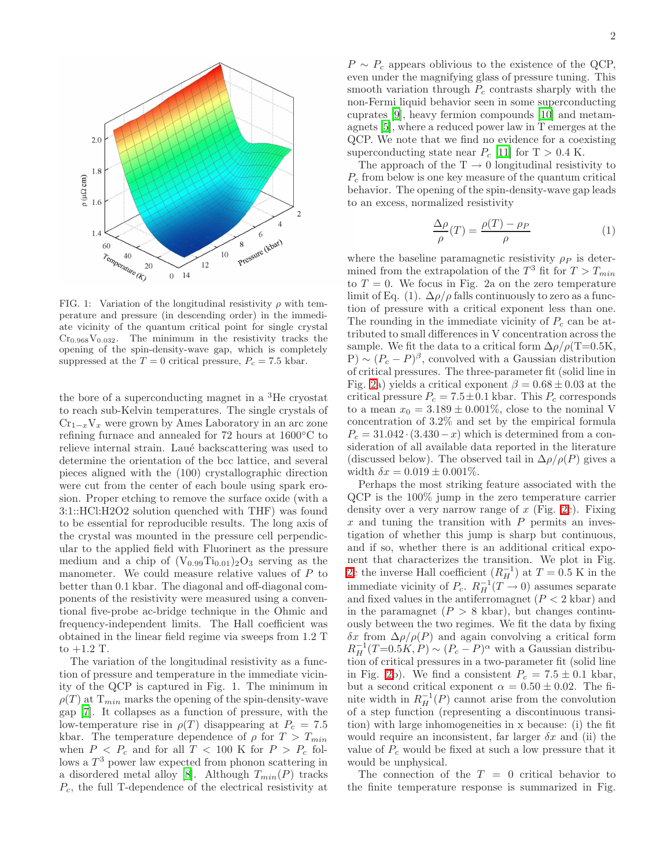

FIG. 1: Variation of the longitudinal resistivity  $\rho$  with temperature and pressure (in descending order) in the immediate vicinity of the quantum critical point for single crystal  $Cr<sub>0.968</sub>V<sub>0.032</sub>$ . The minimum in the resistivity tracks the opening of the spin-density-wave gap, which is completely suppressed at the  $T = 0$  critical pressure,  $P_c = 7.5$  kbar.

the bore of a superconducting magnet in a  ${}^{3}$ He cryostat to reach sub-Kelvin temperatures. The single crystals of  $Cr_{1-x}V_x$  were grown by Ames Laboratory in an arc zone refining furnace and annealed for 72 hours at 1600◦C to relieve internal strain. Laué backscattering was used to determine the orientation of the bcc lattice, and several pieces aligned with the (100) crystallographic direction were cut from the center of each boule using spark erosion. Proper etching to remove the surface oxide (with a 3:1::HCl:H2O2 solution quenched with THF) was found to be essential for reproducible results. The long axis of the crystal was mounted in the pressure cell perpendicular to the applied field with Fluorinert as the pressure medium and a chip of  $(V_{0.99}Ti_{0.01})_2O_3$  serving as the manometer. We could measure relative values of P to better than 0.1 kbar. The diagonal and off-diagonal components of the resistivity were measured using a conventional five-probe ac-bridge technique in the Ohmic and frequency-independent limits. The Hall coefficient was obtained in the linear field regime via sweeps from 1.2 T to +1.2 T.

The variation of the longitudinal resistivity as a function of pressure and temperature in the immediate vicinity of the QCP is captured in Fig. 1. The minimum in  $\rho(T)$  at  $T_{min}$  marks the opening of the spin-density-wave gap [\[7](#page-3-6)]. It collapses as a function of pressure, with the low-temperature rise in  $\rho(T)$  disappearing at  $P_c = 7.5$ kbar. The temperature dependence of  $\rho$  for  $T > T_{min}$ when  $P < P_c$  and for all  $T < 100$  K for  $P > P_c$  follows a  $T^3$  power law expected from phonon scattering in a disordered metal alloy [\[8\]](#page-3-7). Although  $T_{min}(P)$  tracks  $P_c$ , the full T-dependence of the electrical resistivity at

 $P \sim P_c$  appears oblivious to the existence of the QCP, even under the magnifying glass of pressure tuning. This smooth variation through  $P_c$  contrasts sharply with the non-Fermi liquid behavior seen in some superconducting cuprates [\[9\]](#page-3-8), heavy fermion compounds [\[10\]](#page-3-9) and metamagnets [\[5\]](#page-3-4), where a reduced power law in T emerges at the QCP. We note that we find no evidence for a coexisting superconducting state near  $P_c$  [\[11\]](#page-3-10) for T > 0.4 K.

The approach of the  $T \rightarrow 0$  longitudinal resistivity to  $P_c$  from below is one key measure of the quantum critical behavior. The opening of the spin-density-wave gap leads to an excess, normalized resistivity

$$
\frac{\Delta \rho}{\rho}(T) = \frac{\rho(T) - \rho_P}{\rho} \tag{1}
$$

where the baseline paramagnetic resistivity  $\rho_P$  is determined from the extrapolation of the  $T^3$  fit for  $T > T_{min}$ to  $T = 0$ . We focus in Fig. 2a on the zero temperature limit of Eq. (1).  $\Delta \rho / \rho$  falls continuously to zero as a function of pressure with a critical exponent less than one. The rounding in the immediate vicinity of  $P_c$  can be attributed to small differences in V concentration across the sample. We fit the data to a critical form  $\Delta \rho / \rho (T=0.5K,$  $P) \sim (P_c - P)^{\beta}$ , convolved with a Gaussian distribution of critical pressures. The three-parameter fit (solid line in Fig. [2a](#page-2-0)) yields a critical exponent  $\beta = 0.68 \pm 0.03$  at the critical pressure  $P_c = 7.5 \pm 0.1$  kbar. This  $P_c$  corresponds to a mean  $x_0 = 3.189 \pm 0.001\%$ , close to the nominal V concentration of 3.2% and set by the empirical formula  $P_c = 31.042 \cdot (3.430 - x)$  which is determined from a consideration of all available data reported in the literature (discussed below). The observed tail in  $\Delta \rho / \rho(P)$  gives a width  $\delta x = 0.019 \pm 0.001\%$ .

Perhaps the most striking feature associated with the QCP is the 100% jump in the zero temperature carrier density over a very narrow range of  $x$  (Fig. [2c](#page-2-0)). Fixing  $x$  and tuning the transition with  $P$  permits an investigation of whether this jump is sharp but continuous, and if so, whether there is an additional critical exponent that characterizes the transition. We plot in Fig. [2c](#page-2-0) the inverse Hall coefficient  $(R_H^{-1})$  at  $T = 0.5$  K in the immediate vicinity of  $P_c$ .  $R_H^{-1}(T \to 0)$  assumes separate and fixed values in the antiferromagnet  $(P < 2 \text{ kbar})$  and in the paramagnet  $(P > 8 \text{ kbar})$ , but changes continuously between the two regimes. We fit the data by fixing δx from ∆ρ/ρ(P) and again convolving a critical form  $R_H^{-1}(T=0.5K, P) \sim (P_c - P)^{\alpha}$  with a Gaussian distribution of critical pressures in a two-parameter fit (solid line in Fig. [2b](#page-2-0)). We find a consistent  $P_c = 7.5 \pm 0.1$  kbar, but a second critical exponent  $\alpha = 0.50 \pm 0.02$ . The finite width in  $R_H^{-1}(P)$  cannot arise from the convolution of a step function (representing a discontinuous transition) with large inhomogeneities in x because: (i) the fit would require an inconsistent, far larger  $\delta x$  and (ii) the value of  $P_c$  would be fixed at such a low pressure that it would be unphysical.

The connection of the  $T = 0$  critical behavior to the finite temperature response is summarized in Fig.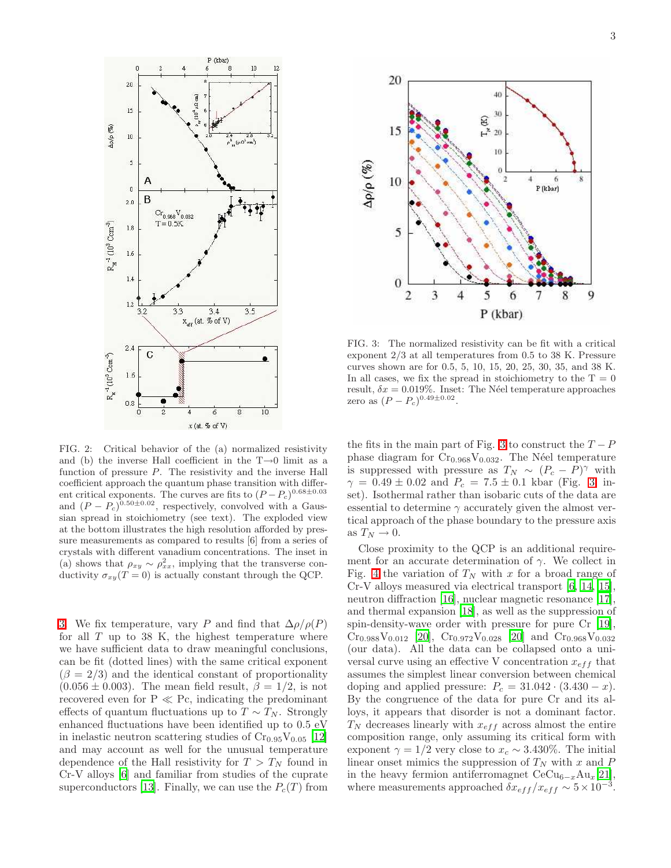

<span id="page-2-0"></span>FIG. 2: Critical behavior of the (a) normalized resistivity and (b) the inverse Hall coefficient in the  $T\rightarrow 0$  limit as a function of pressure  $P$ . The resistivity and the inverse Hall coefficient approach the quantum phase transition with different critical exponents. The curves are fits to  $(P - P_c)^{0.68 \pm 0.03}$ and  $(P - P_c)^{0.50 \pm 0.02}$ , respectively, convolved with a Gaussian spread in stoichiometry (see text). The exploded view at the bottom illustrates the high resolution afforded by pressure measurements as compared to results [6] from a series of crystals with different vanadium concentrations. The inset in (a) shows that  $\rho_{xy} \sim \rho_{xx}^2$ , implying that the transverse conductivity  $\sigma_{xy}(T=0)$  is actually constant through the QCP.

[3.](#page-2-1) We fix temperature, vary P and find that  $\Delta \rho / \rho(P)$ for all  $T$  up to 38 K, the highest temperature where we have sufficient data to draw meaningful conclusions, can be fit (dotted lines) with the same critical exponent  $(\beta = 2/3)$  and the identical constant of proportionality  $(0.056 \pm 0.003)$ . The mean field result,  $\beta = 1/2$ , is not recovered even for  $P \ll Pc$ , indicating the predominant effects of quantum fluctuations up to  $T \sim T_N$ . Strongly enhanced fluctuations have been identified up to 0.5 eV in inelastic neutron scattering studies of  $Cr_{0.95}V_{0.05}$  [\[12](#page-3-11)] and may account as well for the unusual temperature dependence of the Hall resistivity for  $T > T<sub>N</sub>$  found in Cr-V alloys [\[6\]](#page-3-5) and familiar from studies of the cuprate superconductors [\[13](#page-3-12)]. Finally, we can use the  $P_c(T)$  from



<span id="page-2-1"></span>FIG. 3: The normalized resistivity can be fit with a critical exponent 2/3 at all temperatures from 0.5 to 38 K. Pressure curves shown are for 0.5, 5, 10, 15, 20, 25, 30, 35, and 38 K. In all cases, we fix the spread in stoichiometry to the  $T = 0$ result,  $\delta x = 0.019\%$ . Inset: The Néel temperature approaches zero as  $(P - P_c)^{0.49 \pm 0.02}$ .

the fits in the main part of Fig. [3](#page-2-1) to construct the  $T - P$ phase diagram for  $Cr<sub>0.968</sub>V<sub>0.032</sub>$ . The Néel temperature is suppressed with pressure as  $T_N \sim (P_c - P)^{\gamma}$  with  $\gamma = 0.49 \pm 0.02$  and  $P_c = 7.5 \pm 0.1$  kbar (Fig. [3,](#page-2-1) inset). Isothermal rather than isobaric cuts of the data are essential to determine  $\gamma$  accurately given the almost vertical approach of the phase boundary to the pressure axis as  $T_N \to 0$ .

Close proximity to the QCP is an additional requirement for an accurate determination of  $\gamma$ . We collect in Fig. [4](#page-3-13) the variation of  $T_N$  with x for a broad range of Cr-V alloys measured via electrical transport [\[6,](#page-3-5) [14,](#page-4-0) [15\]](#page-4-1), neutron diffraction [\[16\]](#page-4-2), nuclear magnetic resonance [\[17\]](#page-4-3), and thermal expansion [\[18\]](#page-4-4), as well as the suppression of spin-density-wave order with pressure for pure Cr [\[19\]](#page-4-5),  $Cr_{0.988}V_{0.012}$  [\[20](#page-4-6)],  $Cr_{0.972}V_{0.028}$  [\[20\]](#page-4-6) and  $Cr_{0.968}V_{0.032}$ (our data). All the data can be collapsed onto a universal curve using an effective V concentration  $x_{eff}$  that assumes the simplest linear conversion between chemical doping and applied pressure:  $P_c = 31.042 \cdot (3.430 - x)$ . By the congruence of the data for pure Cr and its alloys, it appears that disorder is not a dominant factor.  $T_N$  decreases linearly with  $x_{eff}$  across almost the entire composition range, only assuming its critical form with exponent  $\gamma = 1/2$  very close to  $x_c \sim 3.430\%$ . The initial linear onset mimics the suppression of  $T_N$  with x and P in the heavy fermion antiferromagnet  $CeCu_{6-x}Au_{x}[21],$  $CeCu_{6-x}Au_{x}[21],$  $CeCu_{6-x}Au_{x}[21],$ where measurements approached  $\delta x_{eff} / x_{eff} \sim 5 \times 10^{-3}$ .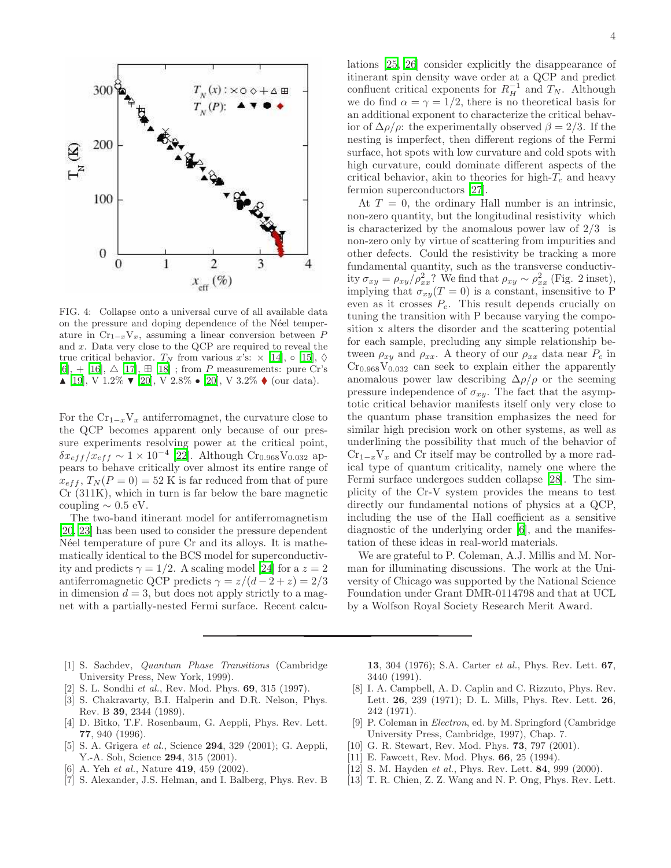

<span id="page-3-13"></span>FIG. 4: Collapse onto a universal curve of all available data on the pressure and doping dependence of the Néel temperature in  $Cr_{1-x}V_x$ , assuming a linear conversion between P and x. Data very close to the QCP are required to reveal the true critical behavior.  $T_N$  from various x's:  $\times$  [\[14](#page-4-0)],  $\circ$  [\[15](#page-4-1)],  $\diamond$  $[6]$  $[6]$ , + [\[16\]](#page-4-2),  $\triangle$  [\[17](#page-4-3)],  $\boxplus$  [\[18\]](#page-4-4); from P measurements: pure Cr's  $\blacktriangle$  [\[19](#page-4-5)], V 1.2%  $\blacktriangledown$  [\[20](#page-4-6)], V 2.8%  $\blacktriangleright$  [20], V 3.2%  $\blacklozenge$  (our data).

For the  $Cr_{1-x}V_x$  antiferromagnet, the curvature close to the QCP becomes apparent only because of our pressure experiments resolving power at the critical point,  $\delta x_{eff} / x_{eff} \sim 1 \times 10^{-4}$  [\[22\]](#page-4-8). Although Cr<sub>0.968</sub>V<sub>0.032</sub> appears to behave critically over almost its entire range of  $x_{eff}$ ,  $T_N(P=0) = 52$  K is far reduced from that of pure Cr (311K), which in turn is far below the bare magnetic coupling  $\sim 0.5$  eV.

The two-band itinerant model for antiferromagnetism [\[20,](#page-4-6) [23](#page-4-9)] has been used to consider the pressure dependent N'eel temperature of pure Cr and its alloys. It is mathematically identical to the BCS model for superconductivity and predicts  $\gamma = 1/2$ . A scaling model [\[24](#page-4-10)] for a  $z = 2$ antiferromagnetic QCP predicts  $\gamma = z/(d-2+z) = 2/3$ in dimension  $d = 3$ , but does not apply strictly to a magnet with a partially-nested Fermi surface. Recent calculations [\[25,](#page-4-11) [26\]](#page-4-12) consider explicitly the disappearance of itinerant spin density wave order at a QCP and predict confluent critical exponents for  $R_H^{-1}$  and  $T_N$ . Although we do find  $\alpha = \gamma = 1/2$ , there is no theoretical basis for an additional exponent to characterize the critical behavior of  $\Delta \rho / \rho$ : the experimentally observed  $\beta = 2/3$ . If the nesting is imperfect, then different regions of the Fermi surface, hot spots with low curvature and cold spots with high curvature, could dominate different aspects of the critical behavior, akin to theories for high- $T_c$  and heavy fermion superconductors [\[27](#page-4-13)].

At  $T = 0$ , the ordinary Hall number is an intrinsic, non-zero quantity, but the longitudinal resistivity which is characterized by the anomalous power law of  $2/3$  is non-zero only by virtue of scattering from impurities and other defects. Could the resistivity be tracking a more fundamental quantity, such as the transverse conductivity  $\sigma_{xy} = \rho_{xy}/\rho_{xx}^2$ ? We find that  $\rho_{xy} \sim \rho_{xx}^2$  (Fig. 2 inset), implying that  $\sigma_{xy}(T=0)$  is a constant, insensitive to P even as it crosses  $P_c$ . This result depends crucially on tuning the transition with P because varying the composition x alters the disorder and the scattering potential for each sample, precluding any simple relationship between  $\rho_{xy}$  and  $\rho_{xx}$ . A theory of our  $\rho_{xx}$  data near  $P_c$  in  $Cr<sub>0.968</sub>V<sub>0.032</sub>$  can seek to explain either the apparently anomalous power law describing  $\Delta \rho / \rho$  or the seeming pressure independence of  $\sigma_{xy}$ . The fact that the asymptotic critical behavior manifests itself only very close to the quantum phase transition emphasizes the need for similar high precision work on other systems, as well as underlining the possibility that much of the behavior of  $Cr_{1-x}V_x$  and Cr itself may be controlled by a more radical type of quantum criticality, namely one where the Fermi surface undergoes sudden collapse [\[28\]](#page-4-14). The simplicity of the Cr-V system provides the means to test directly our fundamental notions of physics at a QCP, including the use of the Hall coefficient as a sensitive diagnostic of the underlying order [\[6\]](#page-3-5), and the manifestation of these ideas in real-world materials.

We are grateful to P. Coleman, A.J. Millis and M. Norman for illuminating discussions. The work at the University of Chicago was supported by the National Science Foundation under Grant DMR-0114798 and that at UCL by a Wolfson Royal Society Research Merit Award.

- <span id="page-3-0"></span>[1] S. Sachdev, Quantum Phase Transitions (Cambridge University Press, New York, 1999).
- <span id="page-3-1"></span>S. L. Sondhi et al., Rev. Mod. Phys. 69, 315 (1997).
- <span id="page-3-2"></span>[3] S. Chakravarty, B.I. Halperin and D.R. Nelson, Phys. Rev. B 39, 2344 (1989).
- <span id="page-3-3"></span>[4] D. Bitko, T.F. Rosenbaum, G. Aeppli, Phys. Rev. Lett. 77, 940 (1996).
- <span id="page-3-4"></span>[5] S. A. Grigera et al., Science 294, 329 (2001); G. Aeppli, Y.-A. Soh, Science 294, 315 (2001).
- <span id="page-3-5"></span>[6] A. Yeh *et al.*, Nature **419**, 459 (2002).
- <span id="page-3-6"></span>[7] S. Alexander, J.S. Helman, and I. Balberg, Phys. Rev. B

13, 304 (1976); S.A. Carter et al., Phys. Rev. Lett. 67, 3440 (1991).

- <span id="page-3-7"></span>[8] I. A. Campbell, A. D. Caplin and C. Rizzuto, Phys. Rev. Lett. 26, 239 (1971); D. L. Mills, Phys. Rev. Lett. 26, 242 (1971).
- [9] P. Coleman in Electron, ed. by M. Springford (Cambridge University Press, Cambridge, 1997), Chap. 7.
- <span id="page-3-9"></span><span id="page-3-8"></span>[10] G. R. Stewart, Rev. Mod. Phys. **73**, 797 (2001).
- <span id="page-3-10"></span>[11] E. Fawcett, Rev. Mod. Phys. **66**, 25 (1994).
- [12] S. M. Hayden *et al.*, Phys. Rev. Lett. **84**, 999 (2000).
- <span id="page-3-12"></span><span id="page-3-11"></span>[13] T. R. Chien, Z. Z. Wang and N. P. Ong, Phys. Rev. Lett.